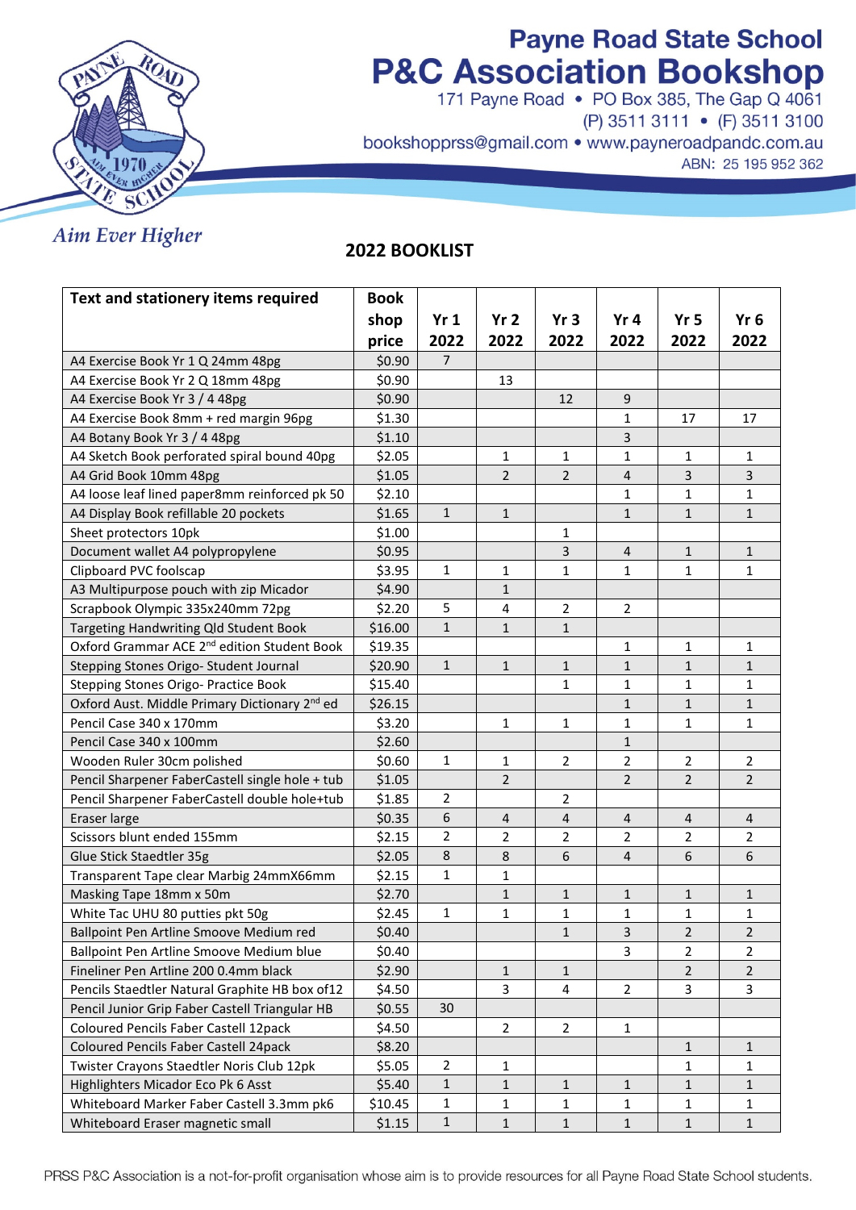

# **Payne Road State School P&C Association Bookshop**<br>171 Payne Road • PO Box 385, The Gap Q 4061

(P) 3511 3111 • (F) 3511 3100 bookshopprss@gmail.com • www.payneroadpandc.com.au ABN: 25 195 952 362

## Aim Ever Higher

## 2022 BOOKLIST

| Text and stationery items required                        | <b>Book</b> |                |                 |                 |                |                 |                  |
|-----------------------------------------------------------|-------------|----------------|-----------------|-----------------|----------------|-----------------|------------------|
|                                                           | shop        | Yr1            | Yr <sub>2</sub> | Yr <sub>3</sub> | Yr 4           | Yr <sub>5</sub> | Yr <sub>6</sub>  |
|                                                           | price       | 2022           | 2022            | 2022            | 2022           | 2022            | 2022             |
| A4 Exercise Book Yr 1 Q 24mm 48pg                         | \$0.90      | $\overline{7}$ |                 |                 |                |                 |                  |
| A4 Exercise Book Yr 2 Q 18mm 48pg                         | \$0.90      |                | 13              |                 |                |                 |                  |
| A4 Exercise Book Yr 3 / 4 48pg                            | \$0.90      |                |                 | 12              | $\overline{9}$ |                 |                  |
| A4 Exercise Book 8mm + red margin 96pg                    | \$1.30      |                |                 |                 | $\mathbf{1}$   | 17              | 17               |
| A4 Botany Book Yr 3 / 4 48pg                              | \$1.10      |                |                 |                 | 3              |                 |                  |
| A4 Sketch Book perforated spiral bound 40pg               | \$2.05      |                | 1               | 1               | 1              | 1               | 1                |
| A4 Grid Book 10mm 48pg                                    | \$1.05      |                | $\overline{2}$  | $\overline{2}$  | $\overline{a}$ | 3               | 3                |
| A4 loose leaf lined paper8mm reinforced pk 50             | \$2.10      |                |                 |                 | $\mathbf{1}$   | $\mathbf{1}$    | $\mathbf{1}$     |
| A4 Display Book refillable 20 pockets                     | \$1.65      | $\mathbf{1}$   | $\mathbf{1}$    |                 | $\mathbf{1}$   | $\mathbf{1}$    | $\mathbf{1}$     |
| Sheet protectors 10pk                                     | \$1.00      |                |                 | 1               |                |                 |                  |
| Document wallet A4 polypropylene                          | \$0.95      |                |                 | 3               | $\overline{4}$ | $\mathbf{1}$    | $\mathbf{1}$     |
| Clipboard PVC foolscap                                    | \$3.95      | 1              | 1               | $\mathbf{1}$    | 1              | $\mathbf{1}$    | 1                |
| A3 Multipurpose pouch with zip Micador                    | \$4.90      |                | $\mathbf{1}$    |                 |                |                 |                  |
| Scrapbook Olympic 335x240mm 72pg                          | \$2.20      | 5              | 4               | $\overline{2}$  | $\overline{2}$ |                 |                  |
| Targeting Handwriting Qld Student Book                    | \$16.00     | $\mathbf{1}$   | $\mathbf{1}$    | $\mathbf{1}$    |                |                 |                  |
| Oxford Grammar ACE 2 <sup>nd</sup> edition Student Book   | \$19.35     |                |                 |                 | 1              | $\mathbf{1}$    | 1                |
| Stepping Stones Origo- Student Journal                    | \$20.90     | $\mathbf{1}$   | $\mathbf{1}$    | $\mathbf{1}$    | $\mathbf{1}$   | $\mathbf{1}$    | $\mathbf{1}$     |
| Stepping Stones Origo- Practice Book                      | \$15.40     |                |                 | 1               | $\mathbf{1}$   | 1               | 1                |
| Oxford Aust. Middle Primary Dictionary 2 <sup>nd</sup> ed | \$26.15     |                |                 |                 | $\mathbf{1}$   | $\mathbf{1}$    | $\mathbf{1}$     |
| Pencil Case 340 x 170mm                                   | \$3.20      |                | $\mathbf{1}$    | $\mathbf{1}$    | $\mathbf{1}$   | $\mathbf{1}$    | $\mathbf{1}$     |
| Pencil Case 340 x 100mm                                   | \$2.60      |                |                 |                 | $\mathbf{1}$   |                 |                  |
| Wooden Ruler 30cm polished                                | \$0.60      | 1              | 1               | $\overline{2}$  | $\overline{2}$ | $\overline{2}$  | $\overline{2}$   |
| Pencil Sharpener FaberCastell single hole + tub           | \$1.05      |                | $\overline{2}$  |                 | $\overline{2}$ | $\overline{2}$  | $\overline{2}$   |
| Pencil Sharpener FaberCastell double hole+tub             | \$1.85      | $\overline{2}$ |                 | $\overline{2}$  |                |                 |                  |
| Eraser large                                              | \$0.35      | 6              | 4               | 4               | 4              | 4               | 4                |
| Scissors blunt ended 155mm                                | \$2.15      | $\overline{2}$ | $\overline{2}$  | $\overline{2}$  | $\overline{2}$ | $\overline{2}$  | $\overline{2}$   |
| Glue Stick Staedtler 35g                                  | \$2.05      | $\,8\,$        | 8               | 6               | $\overline{4}$ | 6               | $\boldsymbol{6}$ |
| Transparent Tape clear Marbig 24mmX66mm                   | \$2.15      | 1              | $\mathbf{1}$    |                 |                |                 |                  |
| Masking Tape 18mm x 50m                                   | \$2.70      |                | $\mathbf{1}$    | $\mathbf{1}$    | $\mathbf{1}$   | $\mathbf{1}$    | $\mathbf{1}$     |
| White Tac UHU 80 putties pkt 50g                          | \$2.45      | $\mathbf{1}$   | $\mathbf{1}$    | $\mathbf{1}$    | 1              | $\mathbf{1}$    | 1                |
| Ballpoint Pen Artline Smoove Medium red                   | \$0.40      |                |                 | 1               | 3              | 2               | 2                |
| Ballpoint Pen Artline Smoove Medium blue                  | \$0.40      |                |                 |                 | 3              | $\overline{2}$  | 2                |
| Fineliner Pen Artline 200 0.4mm black                     | \$2.90      |                | $\mathbf{1}$    | $\mathbf{1}$    |                | $\overline{2}$  | $\overline{2}$   |
| Pencils Staedtler Natural Graphite HB box of 12           | \$4.50      |                | 3               | 4               | $\overline{2}$ | 3               | 3                |
| Pencil Junior Grip Faber Castell Triangular HB            | \$0.55      | 30             |                 |                 |                |                 |                  |
| Coloured Pencils Faber Castell 12pack                     | \$4.50      |                | $\overline{2}$  | $\overline{2}$  | $\mathbf{1}$   |                 |                  |
| Coloured Pencils Faber Castell 24pack                     | \$8.20      |                |                 |                 |                | $\mathbf{1}$    | 1                |
| Twister Crayons Staedtler Noris Club 12pk                 | \$5.05      | $\overline{2}$ | $\mathbf{1}$    |                 |                | $\mathbf{1}$    | 1                |
| Highlighters Micador Eco Pk 6 Asst                        | \$5.40      | $\mathbf 1$    | $\mathbf{1}$    | $\mathbf{1}$    | $\mathbf{1}$   | $\mathbf{1}$    | 1                |
| Whiteboard Marker Faber Castell 3.3mm pk6                 | \$10.45     | 1              | $\mathbf{1}$    | 1               | $\mathbf{1}$   | $\mathbf{1}$    | $\mathbf{1}$     |
| Whitehoard Eraser magnetic small                          | \$115       | $\mathbf{1}$   | $\mathbf{1}$    | $\overline{1}$  |                | $\mathbf{1}$    | $\mathbf{1}$     |